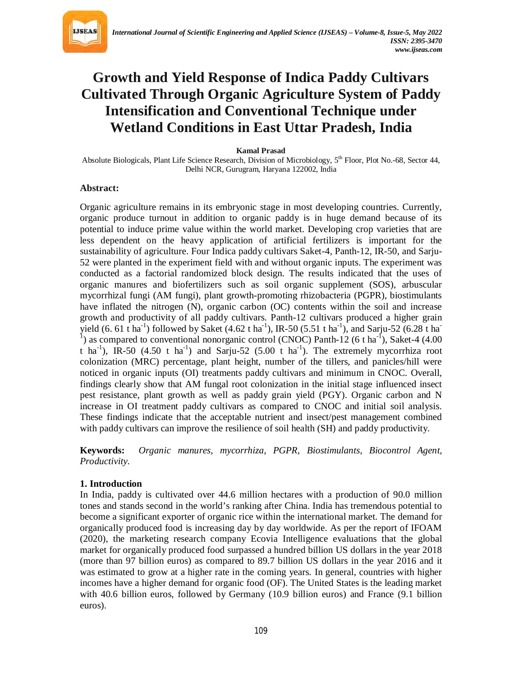

# **Growth and Yield Response of Indica Paddy Cultivars Cultivated Through Organic Agriculture System of Paddy Intensification and Conventional Technique under Wetland Conditions in East Uttar Pradesh, India**

**Kamal Prasad**

Absolute Biologicals, Plant Life Science Research, Division of Microbiology, 5<sup>th</sup> Floor, Plot No.-68, Sector 44, Delhi NCR, Gurugram, Haryana 122002, India

#### **Abstract:**

Organic agriculture remains in its embryonic stage in most developing countries. Currently, organic produce turnout in addition to organic paddy is in huge demand because of its potential to induce prime value within the world market. Developing crop varieties that are less dependent on the heavy application of artificial fertilizers is important for the sustainability of agriculture. Four Indica paddy cultivars Saket-4, Panth-12, IR-50, and Sarju-52 were planted in the experiment field with and without organic inputs. The experiment was conducted as a factorial randomized block design. The results indicated that the uses of organic manures and biofertilizers such as soil organic supplement (SOS), arbuscular mycorrhizal fungi (AM fungi), plant growth-promoting rhizobacteria (PGPR), biostimulants have inflated the nitrogen (N), organic carbon (OC) contents within the soil and increase growth and productivity of all paddy cultivars. Panth-12 cultivars produced a higher grain yield (6. 61 t ha<sup>-1</sup>) followed by Saket (4.62 t ha<sup>-1</sup>), IR-50 (5.51 t ha<sup>-1</sup>), and Sarju-52 (6.28 t ha<sup>-1</sup>) <sup>1</sup>) as compared to conventional nonorganic control (CNOC) Panth-12 (6 t ha<sup>-1</sup>), Saket-4 (4.00 t ha<sup>-1</sup>), IR-50 (4.50 t ha<sup>-1</sup>) and Sarju-52 (5.00 t ha<sup>-1</sup>). The extremely mycorrhiza root colonization (MRC) percentage, plant height, number of the tillers, and panicles/hill were noticed in organic inputs (OI) treatments paddy cultivars and minimum in CNOC. Overall, findings clearly show that AM fungal root colonization in the initial stage influenced insect pest resistance, plant growth as well as paddy grain yield (PGY). Organic carbon and N increase in OI treatment paddy cultivars as compared to CNOC and initial soil analysis. These findings indicate that the acceptable nutrient and insect/pest management combined with paddy cultivars can improve the resilience of soil health (SH) and paddy productivity.

**Keywords:** *Organic manures, mycorrhiza, PGPR, Biostimulants, Biocontrol Agent, Productivity.*

## **1. Introduction**

In India, paddy is cultivated over 44.6 million hectares with a production of 90.0 million tones and stands second in the world's ranking after China. India has tremendous potential to become a significant exporter of organic rice within the international market. The demand for organically produced food is increasing day by day worldwide. As per the report of IFOAM (2020), the marketing research company Ecovia Intelligence evaluations that the global market for organically produced food surpassed a hundred billion US dollars in the year 2018 (more than 97 billion euros) as compared to 89.7 billion US dollars in the year 2016 and it was estimated to grow at a higher rate in the coming years. In general, countries with higher incomes have a higher demand for organic food (OF). The United States is the leading market with 40.6 billion euros, followed by Germany (10.9 billion euros) and France (9.1 billion euros).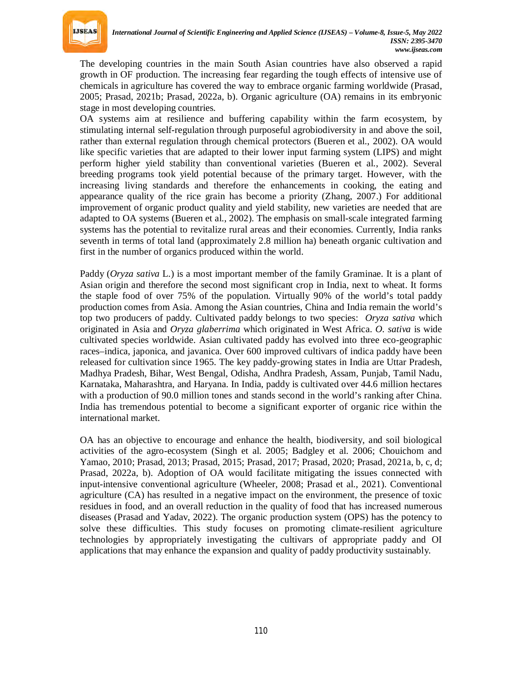

The developing countries in the main South Asian countries have also observed a rapid growth in OF production. The increasing fear regarding the tough effects of intensive use of chemicals in agriculture has covered the way to embrace organic farming worldwide (Prasad, 2005; Prasad, 2021b; Prasad, 2022a, b). Organic agriculture (OA) remains in its embryonic stage in most developing countries.

OA systems aim at resilience and buffering capability within the farm ecosystem, by stimulating internal self-regulation through purposeful agrobiodiversity in and above the soil, rather than external regulation through chemical protectors (Bueren et al., 2002). OA would like specific varieties that are adapted to their lower input farming system (LIPS) and might perform higher yield stability than conventional varieties (Bueren et al., 2002). Several breeding programs took yield potential because of the primary target. However, with the increasing living standards and therefore the enhancements in cooking, the eating and appearance quality of the rice grain has become a priority (Zhang, 2007.) For additional improvement of organic product quality and yield stability, new varieties are needed that are adapted to OA systems (Bueren et al., 2002). The emphasis on small-scale integrated farming systems has the potential to revitalize rural areas and their economies. Currently, India ranks seventh in terms of total land (approximately 2.8 million ha) beneath organic cultivation and first in the number of organics produced within the world.

Paddy (*Oryza sativa* L.) is a most important member of the family Graminae. It is a plant of Asian origin and therefore the second most significant crop in India, next to wheat. It forms the staple food of over 75% of the population. Virtually 90% of the world's total paddy production comes from Asia. Among the Asian countries, China and India remain the world's top two producers of paddy. Cultivated paddy belongs to two species: *Oryza sativa* which originated in Asia and *Oryza glaberrima* which originated in West Africa. *O. sativa* is wide cultivated species worldwide. Asian cultivated paddy has evolved into three eco-geographic races–indica, japonica, and javanica. Over 600 improved cultivars of indica paddy have been released for cultivation since 1965. The key paddy-growing states in India are Uttar Pradesh, Madhya Pradesh, Bihar, West Bengal, Odisha, Andhra Pradesh, Assam, Punjab, Tamil Nadu, Karnataka, Maharashtra, and Haryana. In India, paddy is cultivated over 44.6 million hectares with a production of 90.0 million tones and stands second in the world's ranking after China. India has tremendous potential to become a significant exporter of organic rice within the international market.

OA has an objective to encourage and enhance the health, biodiversity, and soil biological activities of the agro-ecosystem (Singh et al. 2005; Badgley et al. 2006; Chouichom and Yamao, 2010; Prasad, 2013; Prasad, 2015; Prasad, 2017; Prasad, 2020; Prasad, 2021a, b, c, d; Prasad, 2022a, b). Adoption of OA would facilitate mitigating the issues connected with input-intensive conventional agriculture (Wheeler, 2008; Prasad et al., 2021). Conventional agriculture (CA) has resulted in a negative impact on the environment, the presence of toxic residues in food, and an overall reduction in the quality of food that has increased numerous diseases (Prasad and Yadav, 2022). The organic production system (OPS) has the potency to solve these difficulties. This study focuses on promoting climate-resilient agriculture technologies by appropriately investigating the cultivars of appropriate paddy and OI applications that may enhance the expansion and quality of paddy productivity sustainably.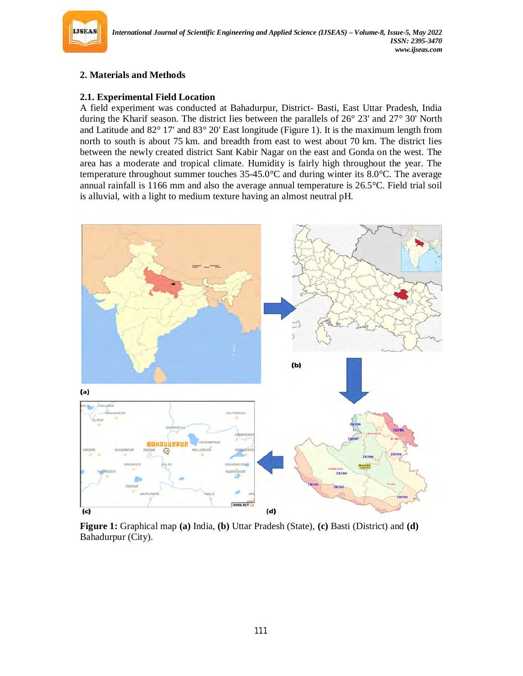

# **2. Materials and Methods**

## **2.1. Experimental Field Location**

A field experiment was conducted at Bahadurpur, District- Basti, East Uttar Pradesh, India during the Kharif season. The district lies between the parallels of 26° 23' and 27° 30' North and Latitude and 82° 17' and 83° 20' East longitude (Figure 1). It is the maximum length from north to south is about 75 km. and breadth from east to west about 70 km. The district lies between the newly created district Sant Kabir Nagar on the east and Gonda on the west. The area has a moderate and tropical climate. Humidity is fairly high throughout the year. The temperature throughout summer touches  $35-45.0^{\circ}$ C and during winter its  $8.0^{\circ}$ C. The average annual rainfall is 1166 mm and also the average annual temperature is 26.5°C. Field trial soil is alluvial, with a light to medium texture having an almost neutral pH.



**Figure 1:** Graphical map **(a)** India, **(b)** Uttar Pradesh (State), **(c)** Basti (District) and **(d)** Bahadurpur (City).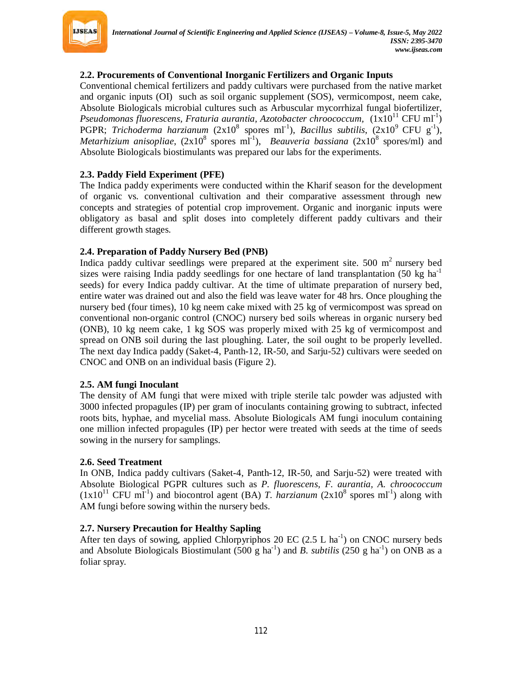

## **2.2. Procurements of Conventional Inorganic Fertilizers and Organic Inputs**

Conventional chemical fertilizers and paddy cultivars were purchased from the native market and organic inputs (OI) such as soil organic supplement (SOS), vermicompost, neem cake, Absolute Biologicals microbial cultures such as Arbuscular mycorrhizal fungal biofertilizer, Pseudomonas fluorescens, Fraturia aurantia, Azotobacter chroococcum,  $(1x10^{11}$  CFU ml<sup>-1</sup>) PGPR; *Trichoderma harzianum* (2x10<sup>8</sup> spores ml<sup>-1</sup>), *Bacillus subtilis*, (2x10<sup>9</sup> CFU g<sup>-1</sup>), *Metarhizium anisopliae*,  $(2x10^8 \text{ spores ml}^{-1})$ , *Beauveria bassiana*  $(2x10^8 \text{ spores/ml})$  and Absolute Biologicals biostimulants was prepared our labs for the experiments.

## **2.3. Paddy Field Experiment (PFE)**

The Indica paddy experiments were conducted within the Kharif season for the development of organic vs. conventional cultivation and their comparative assessment through new concepts and strategies of potential crop improvement. Organic and inorganic inputs were obligatory as basal and split doses into completely different paddy cultivars and their different growth stages.

## **2.4. Preparation of Paddy Nursery Bed (PNB)**

Indica paddy cultivar seedlings were prepared at the experiment site.  $500 \text{ m}^2$  nursery bed sizes were raising India paddy seedlings for one hectare of land transplantation  $(50 \text{ kg ha}^{-1})$ seeds) for every Indica paddy cultivar. At the time of ultimate preparation of nursery bed, entire water was drained out and also the field was leave water for 48 hrs. Once ploughing the nursery bed (four times), 10 kg neem cake mixed with 25 kg of vermicompost was spread on conventional non-organic control (CNOC) nursery bed soils whereas in organic nursery bed (ONB), 10 kg neem cake, 1 kg SOS was properly mixed with 25 kg of vermicompost and spread on ONB soil during the last ploughing. Later, the soil ought to be properly levelled. The next day Indica paddy (Saket-4, Panth-12, IR-50, and Sarju-52) cultivars were seeded on CNOC and ONB on an individual basis (Figure 2).

#### **2.5. AM fungi Inoculant**

The density of AM fungi that were mixed with triple sterile talc powder was adjusted with 3000 infected propagules (IP) per gram of inoculants containing growing to subtract, infected roots bits, hyphae, and mycelial mass. Absolute Biologicals AM fungi inoculum containing one million infected propagules (IP) per hector were treated with seeds at the time of seeds sowing in the nursery for samplings.

#### **2.6. Seed Treatment**

In ONB, Indica paddy cultivars (Saket-4, Panth-12, IR-50, and Sarju-52) were treated with Absolute Biological PGPR cultures such as *P. fluorescens, F. aurantia, A. chroococcum*  $(1x10<sup>11</sup> CFU mI<sup>-1</sup>)$  and biocontrol agent (BA) *T. harzianum*  $(2x10<sup>8</sup>$  spores ml<sup>-1</sup>) along with AM fungi before sowing within the nursery beds.

#### **2.7. Nursery Precaution for Healthy Sapling**

After ten days of sowing, applied Chlorpyriphos 20 EC  $(2.5 \text{ L ha}^{-1})$  on CNOC nursery beds and Absolute Biologicals Biostimulant (500 g ha<sup>-1</sup>) and *B. subtilis* (250 g ha<sup>-1</sup>) on ONB as a foliar spray.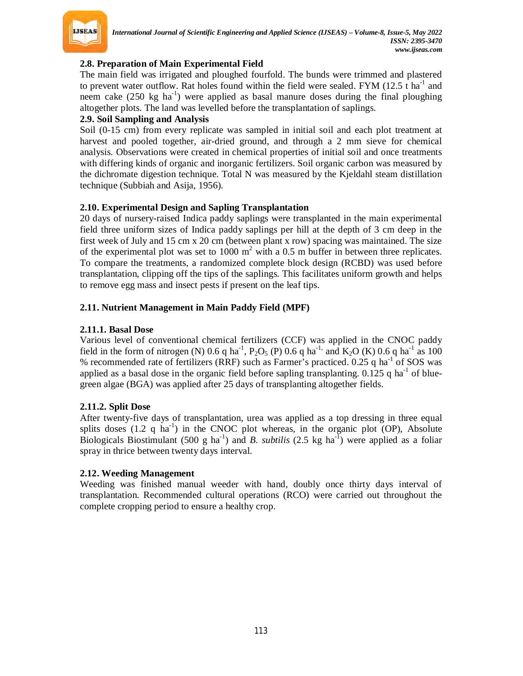

## **2.8. Preparation of Main Experimental Field**

The main field was irrigated and ploughed fourfold. The bunds were trimmed and plastered to prevent water outflow. Rat holes found within the field were sealed. FYM (12.5  $t$  ha<sup>-1</sup> and neem cake (250 kg ha<sup>-1</sup>) were applied as basal manure doses during the final ploughing altogether plots. The land was levelled before the transplantation of saplings.

#### **2.9. Soil Sampling and Analysis**

Soil (0-15 cm) from every replicate was sampled in initial soil and each plot treatment at harvest and pooled together, air-dried ground, and through a 2 mm sieve for chemical analysis. Observations were created in chemical properties of initial soil and once treatments with differing kinds of organic and inorganic fertilizers. Soil organic carbon was measured by the dichromate digestion technique. Total N was measured by the Kjeldahl steam distillation technique (Subbiah and Asija, 1956).

## **2.10. Experimental Design and Sapling Transplantation**

20 days of nursery-raised Indica paddy saplings were transplanted in the main experimental field three uniform sizes of Indica paddy saplings per hill at the depth of 3 cm deep in the first week of July and 15 cm x 20 cm (between plant x row) spacing was maintained. The size of the experimental plot was set to 1000  $m^2$  with a 0.5 m buffer in between three replicates. To compare the treatments, a randomized complete block design (RCBD) was used before transplantation, clipping off the tips of the saplings. This facilitates uniform growth and helps to remove egg mass and insect pests if present on the leaf tips.

## **2.11. Nutrient Management in Main Paddy Field (MPF)**

## **2.11.1. Basal Dose**

Various level of conventional chemical fertilizers (CCF) was applied in the CNOC paddy field in the form of nitrogen (N) 0.6 q ha<sup>-1</sup>, P<sub>2</sub>O<sub>5</sub> (P) 0.6 q ha<sup>-1,</sup> and K<sub>2</sub>O (K) 0.6 q ha<sup>-1</sup> as 100 % recommended rate of fertilizers (RRF) such as Farmer's practiced.  $0.25$  q ha<sup>-1</sup> of SOS was applied as a basal dose in the organic field before sapling transplanting.  $0.125$  q ha<sup>-1</sup> of bluegreen algae (BGA) was applied after 25 days of transplanting altogether fields.

## **2.11.2. Split Dose**

After twenty-five days of transplantation, urea was applied as a top dressing in three equal splits doses  $(1.2 \text{ q ha}^{-1})$  in the CNOC plot whereas, in the organic plot  $(OP)$ , Absolute Biologicals Biostimulant (500 g ha<sup>-1</sup>) and *B. subtilis* (2.5 kg ha<sup>-1</sup>) were applied as a foliar spray in thrice between twenty days interval.

## **2.12. Weeding Management**

Weeding was finished manual weeder with hand, doubly once thirty days interval of transplantation. Recommended cultural operations (RCO) were carried out throughout the complete cropping period to ensure a healthy crop.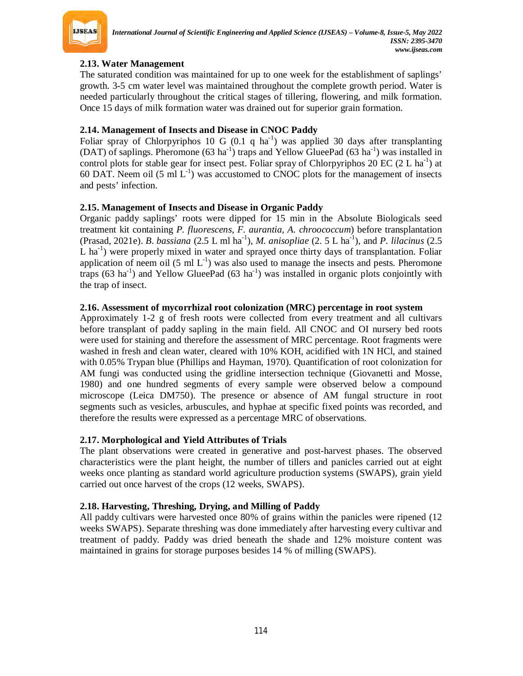

## **2.13. Water Management**

The saturated condition was maintained for up to one week for the establishment of saplings' growth. 3-5 cm water level was maintained throughout the complete growth period. Water is needed particularly throughout the critical stages of tillering, flowering, and milk formation. Once 15 days of milk formation water was drained out for superior grain formation.

## **2.14. Management of Insects and Disease in CNOC Paddy**

Foliar spray of Chlorpyriphos 10 G  $(0.1 \, \text{q ha}^{-1})$  was applied 30 days after transplanting (DAT) of saplings. Pheromone (63 ha<sup>-1</sup>) traps and Yellow GlueePad (63 ha<sup>-1</sup>) was installed in control plots for stable gear for insect pest. Foliar spray of Chlorpyriphos 20 EC  $(2 L ha<sup>-1</sup>)$  at 60 DAT. Neem oil (5 ml  $L^{-1}$ ) was accustomed to CNOC plots for the management of insects and pests' infection.

## **2.15. Management of Insects and Disease in Organic Paddy**

Organic paddy saplings' roots were dipped for 15 min in the Absolute Biologicals seed treatment kit containing *P. fluorescens, F. aurantia, A. chroococcum*) before transplantation (Prasad, 2021e). *B. bassiana* (2.5 L ml ha-1 ), *M. anisopliae* (2. 5 L ha-1 ), and *P. lilacinus* (2.5 L ha<sup>-1</sup>) were properly mixed in water and sprayed once thirty days of transplantation. Foliar application of neem oil (5 ml  $L^{-1}$ ) was also used to manage the insects and pests. Pheromone traps  $(63 \text{ ha}^{-1})$  and Yellow GlueePad  $(63 \text{ ha}^{-1})$  was installed in organic plots conjointly with the trap of insect.

## **2.16. Assessment of mycorrhizal root colonization (MRC) percentage in root system**

Approximately 1-2 g of fresh roots were collected from every treatment and all cultivars before transplant of paddy sapling in the main field. All CNOC and OI nursery bed roots were used for staining and therefore the assessment of MRC percentage. Root fragments were washed in fresh and clean water, cleared with 10% KOH, acidified with 1N HCl, and stained with 0.05% Trypan blue (Phillips and Hayman, 1970). Quantification of root colonization for AM fungi was conducted using the gridline intersection technique (Giovanetti and Mosse, 1980) and one hundred segments of every sample were observed below a compound microscope (Leica DM750). The presence or absence of AM fungal structure in root segments such as vesicles, arbuscules, and hyphae at specific fixed points was recorded, and therefore the results were expressed as a percentage MRC of observations.

## **2.17. Morphological and Yield Attributes of Trials**

The plant observations were created in generative and post-harvest phases. The observed characteristics were the plant height, the number of tillers and panicles carried out at eight weeks once planting as standard world agriculture production systems (SWAPS), grain yield carried out once harvest of the crops (12 weeks, SWAPS).

## **2.18. Harvesting, Threshing, Drying, and Milling of Paddy**

All paddy cultivars were harvested once 80% of grains within the panicles were ripened (12 weeks SWAPS). Separate threshing was done immediately after harvesting every cultivar and treatment of paddy. Paddy was dried beneath the shade and 12% moisture content was maintained in grains for storage purposes besides 14 % of milling (SWAPS).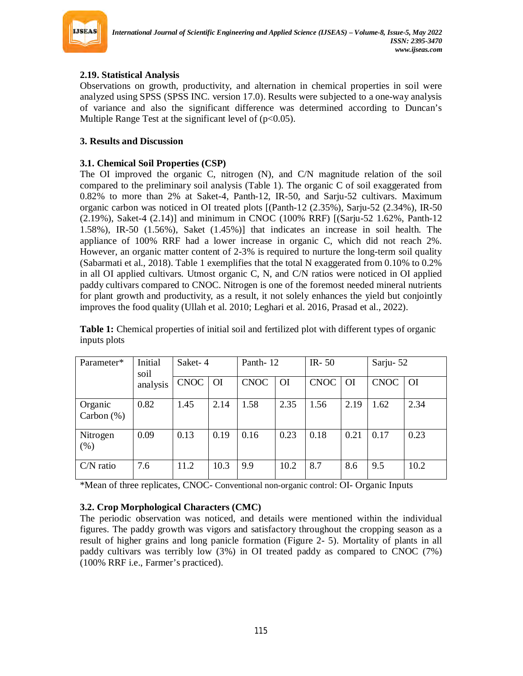

# **2.19. Statistical Analysis**

Observations on growth, productivity, and alternation in chemical properties in soil were analyzed using SPSS (SPSS INC. version 17.0). Results were subjected to a one-way analysis of variance and also the significant difference was determined according to Duncan's Multiple Range Test at the significant level of  $(p<0.05)$ .

## **3. Results and Discussion**

## **3.1. Chemical Soil Properties (CSP)**

The OI improved the organic C, nitrogen (N), and C/N magnitude relation of the soil compared to the preliminary soil analysis (Table 1). The organic C of soil exaggerated from 0.82% to more than 2% at Saket-4, Panth-12, IR-50, and Sarju-52 cultivars. Maximum organic carbon was noticed in OI treated plots [(Panth-12 (2.35%), Sarju-52 (2.34%), IR-50 (2.19%), Saket-4 (2.14)] and minimum in CNOC (100% RRF) [(Sarju-52 1.62%, Panth-12 1.58%), IR-50 (1.56%), Saket (1.45%)] that indicates an increase in soil health. The appliance of 100% RRF had a lower increase in organic C, which did not reach 2%. However, an organic matter content of 2-3% is required to nurture the long-term soil quality (Sabarmati et al., 2018). Table 1 exemplifies that the total N exaggerated from 0.10% to 0.2% in all OI applied cultivars. Utmost organic C, N, and C/N ratios were noticed in OI applied paddy cultivars compared to CNOC. Nitrogen is one of the foremost needed mineral nutrients for plant growth and productivity, as a result, it not solely enhances the yield but conjointly improves the food quality (Ullah et al. 2010; Leghari et al. 2016, Prasad et al., 2022).

| Parameter*               | Initial<br>soil<br>analysis | Saket-4     |           | Panth-12    |           | IR- $50$    |               | Sarju-52    |               |
|--------------------------|-----------------------------|-------------|-----------|-------------|-----------|-------------|---------------|-------------|---------------|
|                          |                             | <b>CNOC</b> | <b>OI</b> | <b>CNOC</b> | <b>OI</b> | <b>CNOC</b> | <sup>OI</sup> | <b>CNOC</b> | <sup>OI</sup> |
| Organic<br>Carbon $(\%)$ | 0.82                        | 1.45        | 2.14      | 1.58        | 2.35      | 1.56        | 2.19          | 1.62        | 2.34          |
| Nitrogen<br>(% )         | 0.09                        | 0.13        | 0.19      | 0.16        | 0.23      | 0.18        | 0.21          | 0.17        | 0.23          |
| $C/N$ ratio              | 7.6                         | 11.2        | 10.3      | 9.9         | 10.2      | 8.7         | 8.6           | 9.5         | 10.2          |

**Table 1:** Chemical properties of initial soil and fertilized plot with different types of organic inputs plots

\*Mean of three replicates, CNOC- Conventional non-organic control: OI- Organic Inputs

## **3.2. Crop Morphological Characters (CMC)**

The periodic observation was noticed, and details were mentioned within the individual figures. The paddy growth was vigors and satisfactory throughout the cropping season as a result of higher grains and long panicle formation (Figure 2- 5). Mortality of plants in all paddy cultivars was terribly low (3%) in OI treated paddy as compared to CNOC (7%) (100% RRF i.e., Farmer's practiced).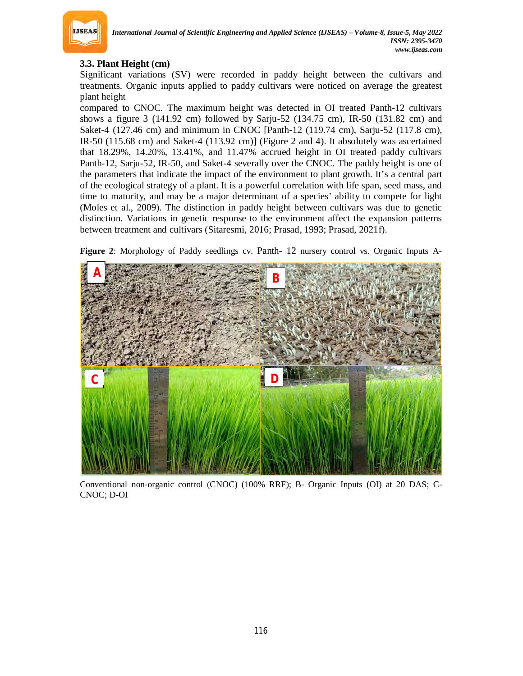

## **3.3. Plant Height (cm)**

Significant variations (SV) were recorded in paddy height between the cultivars and treatments. Organic inputs applied to paddy cultivars were noticed on average the greatest plant height

compared to CNOC. The maximum height was detected in OI treated Panth-12 cultivars shows a figure 3 (141.92 cm) followed by Sarju-52 (134.75 cm), IR-50 (131.82 cm) and Saket-4 (127.46 cm) and minimum in CNOC [Panth-12 (119.74 cm), Sarju-52 (117.8 cm), IR-50 (115.68 cm) and Saket-4 (113.92 cm)] (Figure 2 and 4). It absolutely was ascertained that 18.29%, 14.20%, 13.41%, and 11.47% accrued height in OI treated paddy cultivars Panth-12, Sarju-52, IR-50, and Saket-4 severally over the CNOC. The paddy height is one of the parameters that indicate the impact of the environment to plant growth. It's a central part of the ecological strategy of a plant. It is a powerful correlation with life span, seed mass, and time to maturity, and may be a major determinant of a species' ability to compete for light (Moles et al., 2009). The distinction in paddy height between cultivars was due to genetic distinction. Variations in genetic response to the environment affect the expansion patterns between treatment and cultivars (Sitaresmi, 2016; Prasad, 1993; Prasad, 2021f).

**Figure 2**: Morphology of Paddy seedlings cv. Panth- 12 nursery control vs. Organic Inputs A-



Conventional non-organic control (CNOC) (100% RRF); B- Organic Inputs (OI) at 20 DAS; C-CNOC; D-OI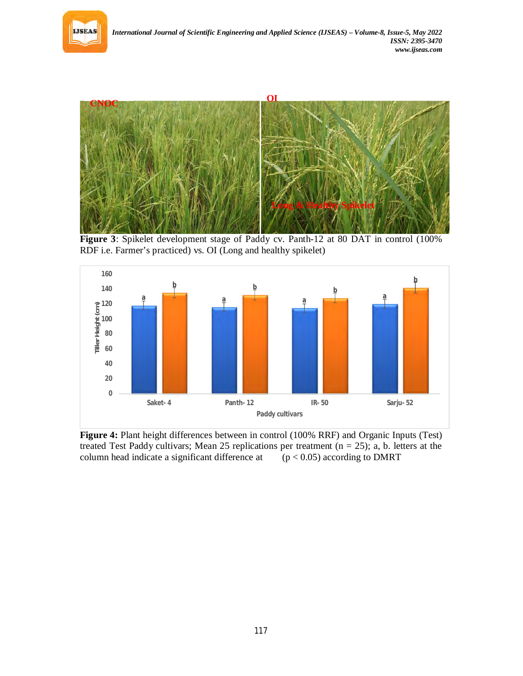



**Figure 3**: Spikelet development stage of Paddy cv. Panth-12 at 80 DAT in control (100% RDF i.e. Farmer's practiced) vs. OI (Long and healthy spikelet)



**Figure 4:** Plant height differences between in control (100% RRF) and Organic Inputs (Test) treated Test Paddy cultivars; Mean 25 replications per treatment  $(n = 25)$ ; a, b. letters at the column head indicate a significant difference at  $(p < 0.05)$  according to DMRT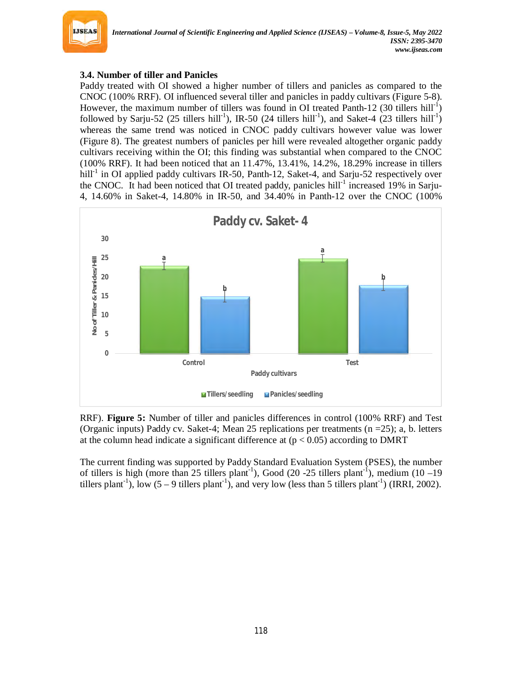

# **3.4. Number of tiller and Panicles**

Paddy treated with OI showed a higher number of tillers and panicles as compared to the CNOC (100% RRF). OI influenced several tiller and panicles in paddy cultivars (Figure 5-8). However, the maximum number of tillers was found in OI treated Panth-12 (30 tillers hill<sup>-1</sup>) followed by Sarju-52 (25 tillers hill<sup>-1</sup>), IR-50 (24 tillers hill<sup>-1</sup>), and Saket-4 (23 tillers hill<sup>-1</sup>) whereas the same trend was noticed in CNOC paddy cultivars however value was lower (Figure 8). The greatest numbers of panicles per hill were revealed altogether organic paddy cultivars receiving within the OI; this finding was substantial when compared to the CNOC (100% RRF). It had been noticed that an 11.47%, 13.41%, 14.2%, 18.29% increase in tillers hill<sup>-1</sup> in OI applied paddy cultivars IR-50, Panth-12, Saket-4, and Sarju-52 respectively over the CNOC. It had been noticed that OI treated paddy, panicles hill<sup>-1</sup> increased 19% in Sarju-4, 14.60% in Saket-4, 14.80% in IR-50, and 34.40% in Panth-12 over the CNOC (100%



RRF). **Figure 5:** Number of tiller and panicles differences in control (100% RRF) and Test (Organic inputs) Paddy cv. Saket-4; Mean 25 replications per treatments  $(n = 25)$ ; a, b. letters at the column head indicate a significant difference at  $(p < 0.05)$  according to DMRT

The current finding was supported by Paddy Standard Evaluation System (PSES), the number of tillers is high (more than 25 tillers plant<sup>-1</sup>), Good (20 -25 tillers plant<sup>-1</sup>), medium (10 -19 tillers plant<sup>-1</sup>), low (5 – 9 tillers plant<sup>-1</sup>), and very low (less than 5 tillers plant<sup>-1</sup>) (IRRI, 2002).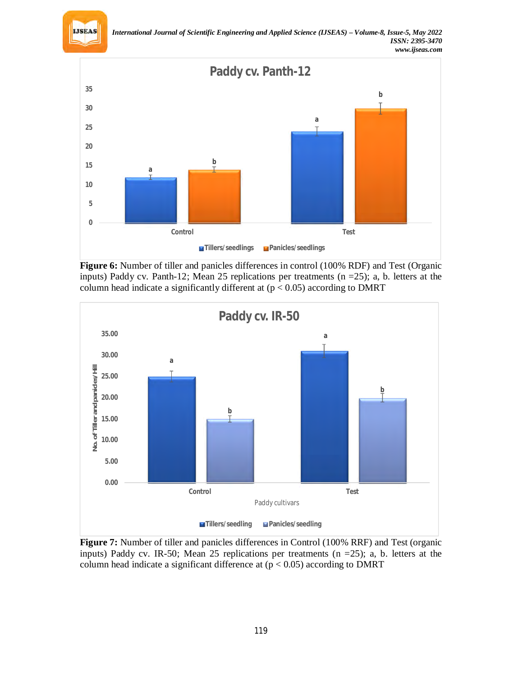



**Figure 6:** Number of tiller and panicles differences in control (100% RDF) and Test (Organic inputs) Paddy cv. Panth-12; Mean 25 replications per treatments  $(n = 25)$ ; a, b. letters at the column head indicate a significantly different at  $(p < 0.05)$  according to DMRT



**Figure 7:** Number of tiller and panicles differences in Control (100% RRF) and Test (organic inputs) Paddy cv. IR-50; Mean 25 replications per treatments (n =25); a, b. letters at the column head indicate a significant difference at  $(p < 0.05)$  according to DMRT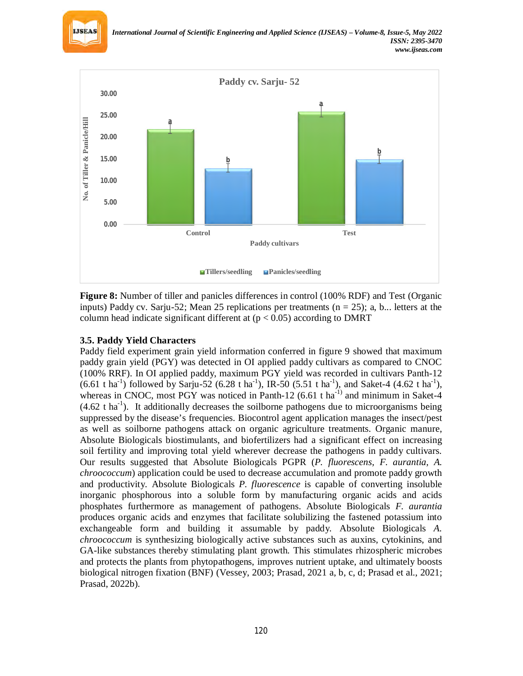



**Figure 8:** Number of tiller and panicles differences in control (100% RDF) and Test (Organic inputs) Paddy cv. Sarju-52; Mean 25 replications per treatments ( $n = 25$ ); a, b... letters at the column head indicate significant different at  $(p < 0.05)$  according to DMRT

#### **3.5. Paddy Yield Characters**

Paddy field experiment grain yield information conferred in figure 9 showed that maximum paddy grain yield (PGY) was detected in OI applied paddy cultivars as compared to CNOC (100% RRF). In OI applied paddy, maximum PGY yield was recorded in cultivars Panth-12  $(6.61 \text{ tha}^{-1})$  followed by Sarju-52  $(6.28 \text{ tha}^{-1})$ , IR-50  $(5.51 \text{ tha}^{-1})$ , and Saket-4  $(4.62 \text{ tha}^{-1})$ , whereas in CNOC, most PGY was noticed in Panth-12  $(6.61 \text{ t} \text{ ha}^{-1})$  and minimum in Saket-4  $(4.62 \text{ t} \text{ ha}^{-1})$ . It additionally decreases the soilborne pathogens due to microorganisms being suppressed by the disease's frequencies. Biocontrol agent application manages the insect/pest as well as soilborne pathogens attack on organic agriculture treatments. Organic manure, Absolute Biologicals biostimulants, and biofertilizers had a significant effect on increasing soil fertility and improving total yield wherever decrease the pathogens in paddy cultivars. Our results suggested that Absolute Biologicals PGPR (*P. fluorescens, F. aurantia, A. chroococcum*) application could be used to decrease accumulation and promote paddy growth and productivity. Absolute Biologicals *P. fluorescence* is capable of converting insoluble inorganic phosphorous into a soluble form by manufacturing organic acids and acids phosphates furthermore as management of pathogens. Absolute Biologicals *F. aurantia* produces organic acids and enzymes that facilitate solubilizing the fastened potassium into exchangeable form and building it assumable by paddy. Absolute Biologicals *A. chroococcum* is synthesizing biologically active substances such as auxins, cytokinins, and GA-like substances thereby stimulating plant growth. This stimulates rhizospheric microbes and protects the plants from phytopathogens, improves nutrient uptake, and ultimately boosts biological nitrogen fixation (BNF) (Vessey, 2003; Prasad, 2021 a, b, c, d; Prasad et al., 2021; Prasad, 2022b).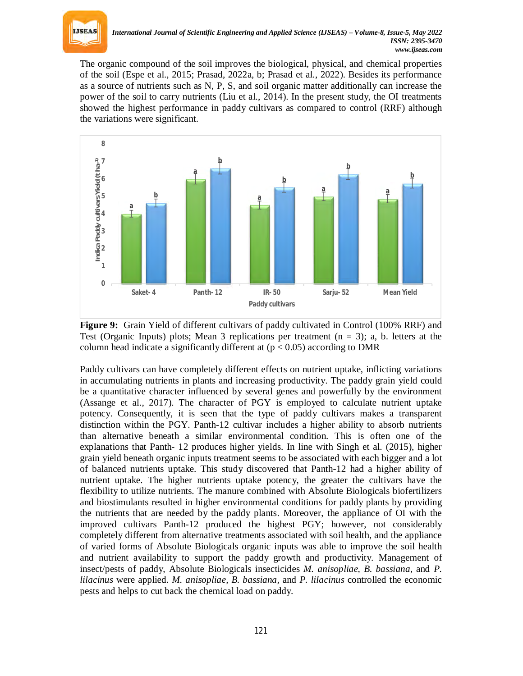

The organic compound of the soil improves the biological, physical, and chemical properties of the soil (Espe et al., 2015; Prasad, 2022a, b; Prasad et al., 2022). Besides its performance as a source of nutrients such as N, P, S, and soil organic matter additionally can increase the power of the soil to carry nutrients (Liu et al., 2014). In the present study, the OI treatments showed the highest performance in paddy cultivars as compared to control (RRF) although the variations were significant.



**Figure 9:** Grain Yield of different cultivars of paddy cultivated in Control (100% RRF) and Test (Organic Inputs) plots; Mean 3 replications per treatment  $(n = 3)$ ; a, b. letters at the column head indicate a significantly different at  $(p < 0.05)$  according to DMR

Paddy cultivars can have completely different effects on nutrient uptake, inflicting variations in accumulating nutrients in plants and increasing productivity. The paddy grain yield could be a quantitative character influenced by several genes and powerfully by the environment (Assange et al., 2017). The character of PGY is employed to calculate nutrient uptake potency. Consequently, it is seen that the type of paddy cultivars makes a transparent distinction within the PGY. Panth-12 cultivar includes a higher ability to absorb nutrients than alternative beneath a similar environmental condition. This is often one of the explanations that Panth- 12 produces higher yields. In line with Singh et al. (2015), higher grain yield beneath organic inputs treatment seems to be associated with each bigger and a lot of balanced nutrients uptake. This study discovered that Panth-12 had a higher ability of nutrient uptake. The higher nutrients uptake potency, the greater the cultivars have the flexibility to utilize nutrients. The manure combined with Absolute Biologicals biofertilizers and biostimulants resulted in higher environmental conditions for paddy plants by providing the nutrients that are needed by the paddy plants. Moreover, the appliance of OI with the improved cultivars Panth-12 produced the highest PGY; however, not considerably completely different from alternative treatments associated with soil health, and the appliance of varied forms of Absolute Biologicals organic inputs was able to improve the soil health and nutrient availability to support the paddy growth and productivity. Management of insect/pests of paddy, Absolute Biologicals insecticides *M. anisopliae, B. bassiana*, and *P. lilacinus* were applied. *M. anisopliae, B. bassiana,* and *P. lilacinus* controlled the economic pests and helps to cut back the chemical load on paddy.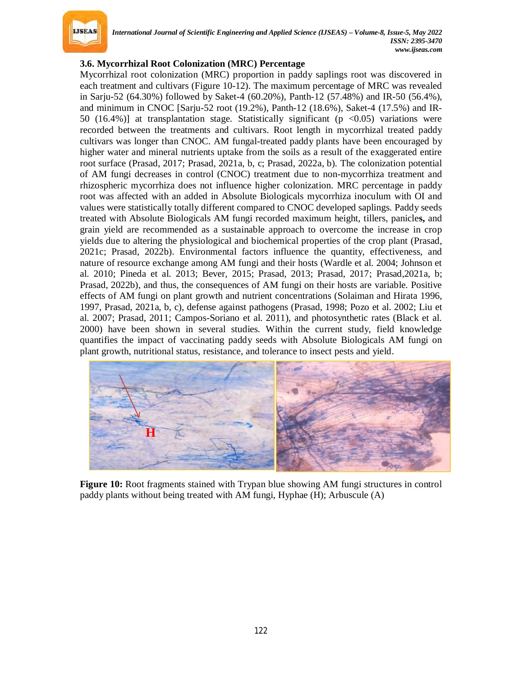

## **3.6. Mycorrhizal Root Colonization (MRC) Percentage**

Mycorrhizal root colonization (MRC) proportion in paddy saplings root was discovered in each treatment and cultivars (Figure 10-12). The maximum percentage of MRC was revealed in Sarju-52 (64.30%) followed by Saket-4 (60.20%), Panth-12 (57.48%) and IR-50 (56.4%), and minimum in CNOC [Sarju-52 root (19.2%), Panth-12 (18.6%), Saket-4 (17.5%) and IR-50 (16.4%)] at transplantation stage. Statistically significant ( $p < 0.05$ ) variations were recorded between the treatments and cultivars. Root length in mycorrhizal treated paddy cultivars was longer than CNOC. AM fungal-treated paddy plants have been encouraged by higher water and mineral nutrients uptake from the soils as a result of the exaggerated entire root surface (Prasad, 2017; Prasad, 2021a, b, c; Prasad, 2022a, b). The colonization potential of AM fungi decreases in control (CNOC) treatment due to non-mycorrhiza treatment and rhizospheric mycorrhiza does not influence higher colonization. MRC percentage in paddy root was affected with an added in Absolute Biologicals mycorrhiza inoculum with OI and values were statistically totally different compared to CNOC developed saplings. Paddy seeds treated with Absolute Biologicals AM fungi recorded maximum height, tillers, panicle**s,** and grain yield are recommended as a sustainable approach to overcome the increase in crop yields due to altering the physiological and biochemical properties of the crop plant (Prasad, 2021c; Prasad, 2022b). Environmental factors influence the quantity, effectiveness, and nature of resource exchange among AM fungi and their hosts (Wardle et al. 2004; Johnson et al. 2010; Pineda et al. 2013; Bever, 2015; Prasad, 2013; Prasad, 2017; Prasad,2021a, b; Prasad, 2022b), and thus, the consequences of AM fungi on their hosts are variable. Positive effects of AM fungi on plant growth and nutrient concentrations (Solaiman and Hirata 1996, 1997, Prasad, 2021a, b, c), defense against pathogens (Prasad, 1998; Pozo et al. 2002; Liu et al. 2007; Prasad, 2011; Campos-Soriano et al. 2011), and photosynthetic rates (Black et al. 2000) have been shown in several studies. Within the current study, field knowledge quantifies the impact of vaccinating paddy seeds with Absolute Biologicals AM fungi on plant growth, nutritional status, resistance, and tolerance to insect pests and yield.



**Figure 10:** Root fragments stained with Trypan blue showing AM fungi structures in control paddy plants without being treated with AM fungi, Hyphae (H); Arbuscule (A)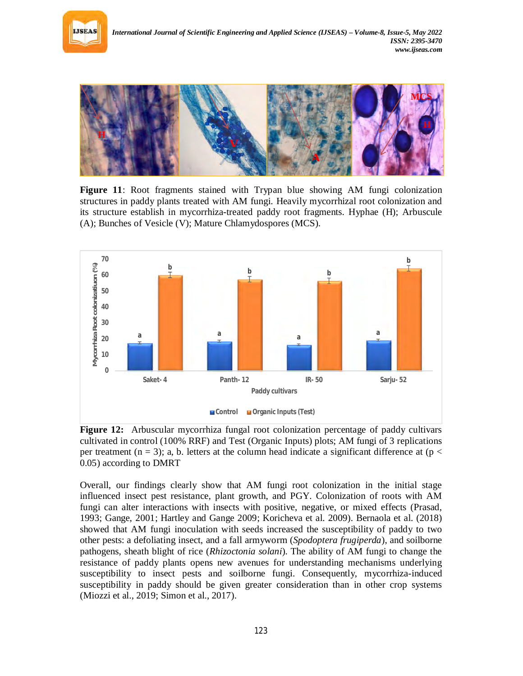



**Figure 11**: Root fragments stained with Trypan blue showing AM fungi colonization structures in paddy plants treated with AM fungi. Heavily mycorrhizal root colonization and its structure establish in mycorrhiza-treated paddy root fragments. Hyphae (H); Arbuscule (A); Bunches of Vesicle (V); Mature Chlamydospores (MCS).



**Figure 12:** Arbuscular mycorrhiza fungal root colonization percentage of paddy cultivars cultivated in control (100% RRF) and Test (Organic Inputs) plots; AM fungi of 3 replications per treatment (n = 3); a, b. letters at the column head indicate a significant difference at (p  $\lt$ 0.05) according to DMRT

Overall, our findings clearly show that AM fungi root colonization in the initial stage influenced insect pest resistance, plant growth, and PGY. Colonization of roots with AM fungi can alter interactions with insects with positive, negative, or mixed effects (Prasad, 1993; Gange, 2001; Hartley and Gange 2009; Koricheva et al. 2009). Bernaola et al. (2018) showed that AM fungi inoculation with seeds increased the susceptibility of paddy to two other pests: a defoliating insect, and a fall armyworm (*Spodoptera frugiperda*), and soilborne pathogens, sheath blight of rice (*Rhizoctonia solani*). The ability of AM fungi to change the resistance of paddy plants opens new avenues for understanding mechanisms underlying susceptibility to insect pests and soilborne fungi. Consequently, mycorrhiza-induced susceptibility in paddy should be given greater consideration than in other crop systems (Miozzi et al., 2019; Simon et al., 2017).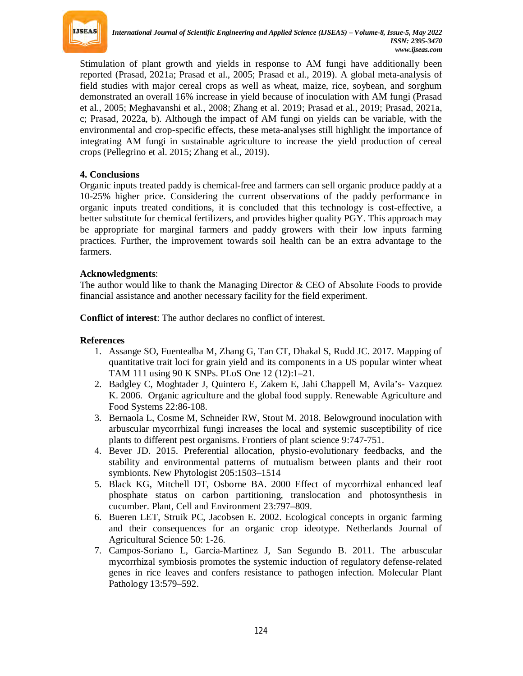

Stimulation of plant growth and yields in response to AM fungi have additionally been reported (Prasad, 2021a; Prasad et al., 2005; Prasad et al., 2019). A global meta-analysis of field studies with major cereal crops as well as wheat, maize, rice, soybean, and sorghum demonstrated an overall 16% increase in yield because of inoculation with AM fungi (Prasad et al., 2005; Meghavanshi et al., 2008; Zhang et al. 2019; Prasad et al., 2019; Prasad, 2021a, c; Prasad, 2022a, b). Although the impact of AM fungi on yields can be variable, with the environmental and crop-specific effects, these meta-analyses still highlight the importance of integrating AM fungi in sustainable agriculture to increase the yield production of cereal crops (Pellegrino et al. 2015; Zhang et al., 2019).

## **4. Conclusions**

Organic inputs treated paddy is chemical-free and farmers can sell organic produce paddy at a 10-25% higher price. Considering the current observations of the paddy performance in organic inputs treated conditions, it is concluded that this technology is cost-effective, a better substitute for chemical fertilizers, and provides higher quality PGY. This approach may be appropriate for marginal farmers and paddy growers with their low inputs farming practices. Further, the improvement towards soil health can be an extra advantage to the farmers.

## **Acknowledgments**:

The author would like to thank the Managing Director  $\&$  CEO of Absolute Foods to provide financial assistance and another necessary facility for the field experiment.

**Conflict of interest**: The author declares no conflict of interest.

#### **References**

- 1. Assange SO, Fuentealba M, Zhang G, Tan CT, Dhakal S, Rudd JC. 2017. Mapping of quantitative trait loci for grain yield and its components in a US popular winter wheat TAM 111 using 90 K SNPs. PLoS One 12 (12):1–21.
- 2. Badgley C, Moghtader J, Quintero E, Zakem E, Jahi Chappell M, Avila's- Vazquez K. 2006. Organic agriculture and the global food supply. Renewable Agriculture and Food Systems 22:86-108.
- 3. Bernaola L, Cosme M, Schneider RW, Stout M. 2018. Belowground inoculation with arbuscular mycorrhizal fungi increases the local and systemic susceptibility of rice plants to different pest organisms. Frontiers of plant science 9:747-751.
- 4. Bever JD. 2015. Preferential allocation, physio-evolutionary feedbacks, and the stability and environmental patterns of mutualism between plants and their root symbionts. New Phytologist 205:1503–1514
- 5. Black KG, Mitchell DT, Osborne BA. 2000 Effect of mycorrhizal enhanced leaf phosphate status on carbon partitioning, translocation and photosynthesis in cucumber. Plant, Cell and Environment 23:797–809.
- 6. Bueren LET, Struik PC, Jacobsen E. 2002. Ecological concepts in organic farming and their consequences for an organic crop ideotype. Netherlands Journal of Agricultural Science 50: 1-26.
- 7. Campos-Soriano L, Garcia-Martinez J, San Segundo B. 2011. The arbuscular mycorrhizal symbiosis promotes the systemic induction of regulatory defense-related genes in rice leaves and confers resistance to pathogen infection. Molecular Plant Pathology 13:579–592.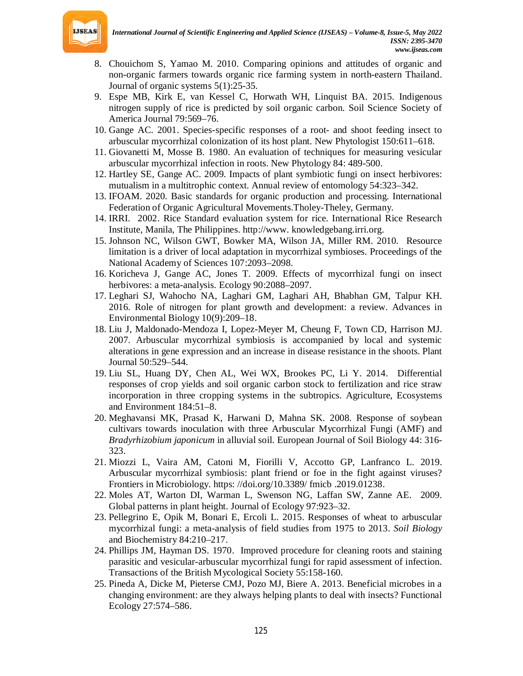

- 8. Chouichom S, Yamao M. 2010. Comparing opinions and attitudes of organic and non-organic farmers towards organic rice farming system in north-eastern Thailand. Journal of organic systems 5(1):25-35.
- 9. Espe MB, Kirk E, van Kessel C, Horwath WH, Linquist BA. 2015. Indigenous nitrogen supply of rice is predicted by soil organic carbon. Soil Science Society of America Journal 79:569–76.
- 10. Gange AC. 2001. Species-specific responses of a root- and shoot feeding insect to arbuscular mycorrhizal colonization of its host plant. New Phytologist 150:611–618.
- 11. Giovanetti M, Mosse B. 1980. An evaluation of techniques for measuring vesicular arbuscular mycorrhizal infection in roots. New Phytology 84: 489-500.
- 12. Hartley SE, Gange AC. 2009. Impacts of plant symbiotic fungi on insect herbivores: mutualism in a multitrophic context. Annual review of entomology 54:323–342.
- 13. IFOAM. 2020. Basic standards for organic production and processing. International Federation of Organic Agricultural Movements.Tholey-Theley, Germany.
- 14. IRRI. 2002. Rice Standard evaluation system for rice. International Rice Research Institute, Manila, The Philippines. http://www. knowledgebang.irri.org.
- 15. Johnson NC, Wilson GWT, Bowker MA, Wilson JA, Miller RM. 2010. Resource limitation is a driver of local adaptation in mycorrhizal symbioses. Proceedings of the National Academy of Sciences 107:2093–2098.
- 16. Koricheva J, Gange AC, Jones T. 2009. Effects of mycorrhizal fungi on insect herbivores: a meta-analysis. Ecology 90:2088–2097.
- 17. Leghari SJ, Wahocho NA, Laghari GM, Laghari AH, Bhabhan GM, Talpur KH. 2016. Role of nitrogen for plant growth and development: a review. Advances in Environmental Biology 10(9):209–18.
- 18. Liu J, Maldonado-Mendoza I, Lopez-Meyer M, Cheung F, Town CD, Harrison MJ. 2007. Arbuscular mycorrhizal symbiosis is accompanied by local and systemic alterations in gene expression and an increase in disease resistance in the shoots. Plant Journal 50:529–544.
- 19. Liu SL, Huang DY, Chen AL, Wei WX, Brookes PC, Li Y. 2014. Differential responses of crop yields and soil organic carbon stock to fertilization and rice straw incorporation in three cropping systems in the subtropics. Agriculture, Ecosystems and Environment 184:51–8.
- 20. Meghavansi MK, Prasad K, Harwani D, Mahna SK. 2008. Response of soybean cultivars towards inoculation with three Arbuscular Mycorrhizal Fungi (AMF) and *Bradyrhizobium japonicum* in alluvial soil. European Journal of Soil Biology 44: 316- 323.
- 21. Miozzi L, Vaira AM, Catoni M, Fiorilli V, Accotto GP, Lanfranco L. 2019. Arbuscular mycorrhizal symbiosis: plant friend or foe in the fight against viruses? Frontiers in Microbiology. https: //doi.org/10.3389/ fmicb .2019.01238.
- 22. Moles AT, Warton DI, Warman L, Swenson NG, Laffan SW, Zanne AE. 2009. Global patterns in plant height. Journal of Ecology 97:923–32.
- 23. Pellegrino E, Opik M, Bonari E, Ercoli L. 2015. Responses of wheat to arbuscular mycorrhizal fungi: a meta-analysis of field studies from 1975 to 2013. *Soil Biology* and Biochemistry 84:210–217.
- 24. Phillips JM, Hayman DS. 1970. Improved procedure for cleaning roots and staining parasitic and vesicular-arbuscular mycorrhizal fungi for rapid assessment of infection. Transactions of the British Mycological Society 55:158-160.
- 25. Pineda A, Dicke M, Pieterse CMJ, Pozo MJ, Biere A. 2013. Beneficial microbes in a changing environment: are they always helping plants to deal with insects? Functional Ecology 27:574–586.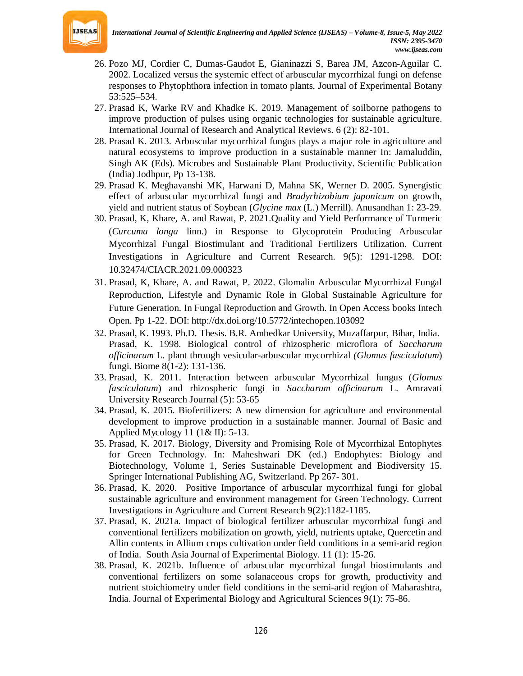

- 26. Pozo MJ, Cordier C, Dumas-Gaudot E, Gianinazzi S, Barea JM, Azcon-Aguilar C. 2002. Localized versus the systemic effect of arbuscular mycorrhizal fungi on defense responses to Phytophthora infection in tomato plants. Journal of Experimental Botany 53:525–534.
- 27. Prasad K, Warke RV and Khadke K. 2019. Management of soilborne pathogens to improve production of pulses using organic technologies for sustainable agriculture. International Journal of Research and Analytical Reviews. 6 (2): 82-101.
- 28. Prasad K. 2013. Arbuscular mycorrhizal fungus plays a major role in agriculture and natural ecosystems to improve production in a sustainable manner In: Jamaluddin, Singh AK (Eds). Microbes and Sustainable Plant Productivity. Scientific Publication (India) Jodhpur, Pp 13-138.
- 29. Prasad K. Meghavanshi MK, Harwani D, Mahna SK, Werner D. 2005. Synergistic effect of arbuscular mycorrhizal fungi and *Bradyrhizobium japonicum* on growth, yield and nutrient status of Soybean (*Glycine max* (L.) Merrill). Anusandhan 1: 23-29.
- 30. Prasad, K, Khare, A. and Rawat, P. 2021.Quality and Yield Performance of Turmeric (*Curcuma longa* linn.) in Response to Glycoprotein Producing Arbuscular Mycorrhizal Fungal Biostimulant and Traditional Fertilizers Utilization. Current Investigations in Agriculture and Current Research. 9(5): 1291-1298. DOI: 10.32474/CIACR.2021.09.000323
- 31. Prasad, K, Khare, A. and Rawat, P. 2022. Glomalin Arbuscular Mycorrhizal Fungal Reproduction, Lifestyle and Dynamic Role in Global Sustainable Agriculture for Future Generation. In Fungal Reproduction and Growth. In Open Access books Intech Open. Pp 1-22. DOI: http://dx.doi.org/10.5772/intechopen.103092
- 32. Prasad, K. 1993. Ph.D. Thesis. B.R. Ambedkar University, Muzaffarpur, Bihar, India. Prasad, K. 1998. Biological control of rhizospheric microflora of *Saccharum officinarum* L. plant through vesicular-arbuscular mycorrhizal *(Glomus fasciculatum*) fungi. Biome 8(1-2): 131-136.
- 33. Prasad, K. 2011. Interaction between arbuscular Mycorrhizal fungus (*Glomus fasciculatum*) and rhizospheric fungi in *Saccharum officinarum* L. Amravati University Research Journal (5): 53-65
- 34. Prasad, K. 2015. Biofertilizers: A new dimension for agriculture and environmental development to improve production in a sustainable manner. Journal of Basic and Applied Mycology 11 (1& II): 5-13.
- 35. Prasad, K. 2017. Biology, Diversity and Promising Role of Mycorrhizal Entophytes for Green Technology. In: Maheshwari DK (ed.) Endophytes: Biology and Biotechnology, Volume 1, Series Sustainable Development and Biodiversity 15. Springer International Publishing AG, Switzerland. Pp 267- 301.
- 36. Prasad, K. 2020. Positive Importance of arbuscular mycorrhizal fungi for global sustainable agriculture and environment management for Green Technology. Current Investigations in Agriculture and Current Research 9(2):1182-1185.
- 37. Prasad, K. 2021a. Impact of biological fertilizer arbuscular mycorrhizal fungi and conventional fertilizers mobilization on growth, yield, nutrients uptake, Quercetin and Allin contents in Allium crops cultivation under field conditions in a semi-arid region of India. South Asia Journal of Experimental Biology. 11 (1): 15-26.
- 38. Prasad, K. 2021b. Influence of arbuscular mycorrhizal fungal biostimulants and conventional fertilizers on some solanaceous crops for growth, productivity and nutrient stoichiometry under field conditions in the semi-arid region of Maharashtra, India. Journal of Experimental Biology and Agricultural Sciences 9(1): 75-86.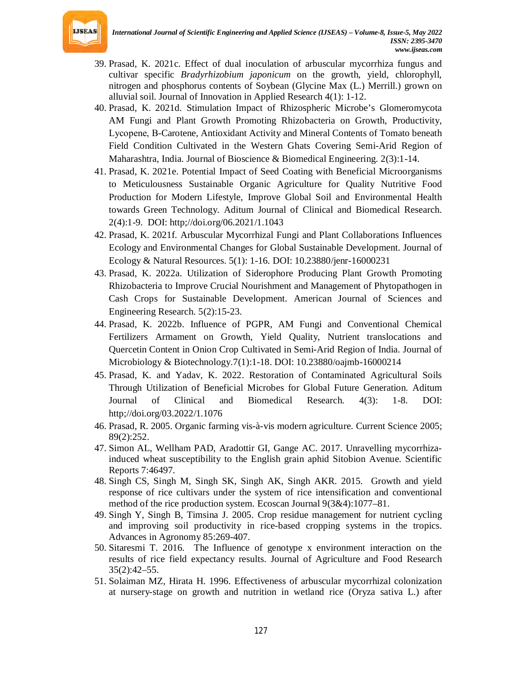

- 39. Prasad, K. 2021c. Effect of dual inoculation of arbuscular mycorrhiza fungus and cultivar specific *Bradyrhizobium japonicum* on the growth, yield, chlorophyll, nitrogen and phosphorus contents of Soybean (Glycine Max (L.) Merrill.) grown on alluvial soil. Journal of Innovation in Applied Research 4(1): 1-12.
- 40. Prasad, K. 2021d. Stimulation Impact of Rhizospheric Microbe's Glomeromycota AM Fungi and Plant Growth Promoting Rhizobacteria on Growth, Productivity, Lycopene, Β-Carotene, Antioxidant Activity and Mineral Contents of Tomato beneath Field Condition Cultivated in the Western Ghats Covering Semi-Arid Region of Maharashtra, India. Journal of Bioscience & Biomedical Engineering. 2(3):1-14.
- 41. Prasad, K. 2021e. Potential Impact of Seed Coating with Beneficial Microorganisms to Meticulousness Sustainable Organic Agriculture for Quality Nutritive Food Production for Modern Lifestyle, Improve Global Soil and Environmental Health towards Green Technology. Aditum Journal of Clinical and Biomedical Research. 2(4):1-9. DOI: http;//doi.org/06.2021/1.1043
- 42. Prasad, K. 2021f. Arbuscular Mycorrhizal Fungi and Plant Collaborations Influences Ecology and Environmental Changes for Global Sustainable Development. Journal of Ecology & Natural Resources. 5(1): 1-16. DOI: 10.23880/jenr-16000231
- 43. Prasad, K. 2022a. Utilization of Siderophore Producing Plant Growth Promoting Rhizobacteria to Improve Crucial Nourishment and Management of Phytopathogen in Cash Crops for Sustainable Development. American Journal of Sciences and Engineering Research. 5(2):15-23.
- 44. Prasad, K. 2022b. Influence of PGPR, AM Fungi and Conventional Chemical Fertilizers Armament on Growth, Yield Quality, Nutrient translocations and Quercetin Content in Onion Crop Cultivated in Semi-Arid Region of India. Journal of Microbiology & Biotechnology.7(1):1-18. DOI: 10.23880/oajmb-16000214
- 45. Prasad, K. and Yadav, K. 2022. Restoration of Contaminated Agricultural Soils Through Utilization of Beneficial Microbes for Global Future Generation. Aditum Journal of Clinical and Biomedical Research. 4(3): 1-8. DOI: http;//doi.org/03.2022/1.1076
- 46. Prasad, R. 2005. Organic farming vis-à-vis modern agriculture. Current Science 2005; 89(2):252.
- 47. Simon AL, Wellham PAD, Aradottir GI, Gange AC. 2017. Unravelling mycorrhizainduced wheat susceptibility to the English grain aphid Sitobion Avenue. Scientific Reports 7:46497.
- 48. Singh CS, Singh M, Singh SK, Singh AK, Singh AKR. 2015. Growth and yield response of rice cultivars under the system of rice intensification and conventional method of the rice production system. Ecoscan Journal 9(3&4):1077–81.
- 49. Singh Y, Singh B, Timsina J. 2005. Crop residue management for nutrient cycling and improving soil productivity in rice-based cropping systems in the tropics. Advances in Agronomy 85:269-407.
- 50. Sitaresmi T. 2016. The Influence of genotype x environment interaction on the results of rice field expectancy results. Journal of Agriculture and Food Research 35(2):42–55.
- 51. Solaiman MZ, Hirata H. 1996. Effectiveness of arbuscular mycorrhizal colonization at nursery-stage on growth and nutrition in wetland rice (Oryza sativa L.) after